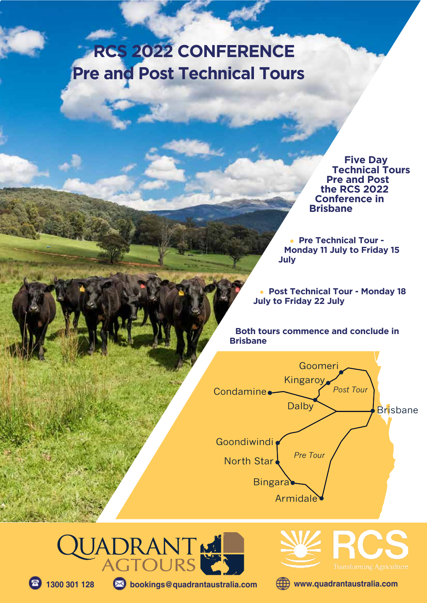# **RCS 2022 CONFERENCE Pre and Post Technical Tours**

 **Five Day Technical Tours Pre and Post the RCS 2022 Conference in Brisbane**

**• Pre Technical Tour -Monday 11 July to Friday 15 July**

**• Post Technical Tour - Monday 18 July to Friday 22 July**

**Both tours commence and conclude in Brisbane**







**1300 301 128 bookings@quadrantaustralia.com www.quadrantaustralia.com**

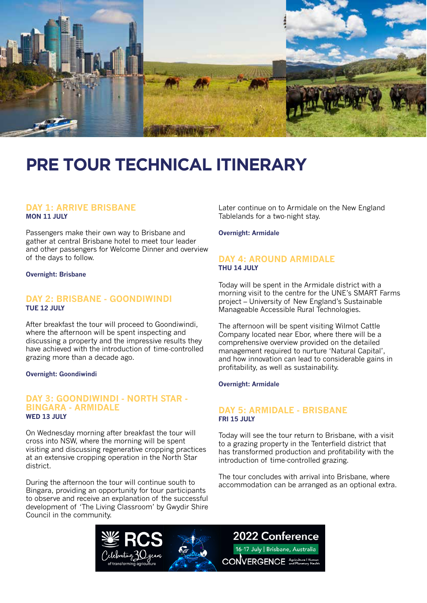

# **PRE TOUR TECHNICAL ITINERARY**

#### **DAY 1: ARRIVE BRISBANE MON 11 JULY**

Passengers make their own way to Brisbane and gather at central Brisbane hotel to meet tour leader and other passengers for Welcome Dinner and overview of the days to follow.

**Overnight: Brisbane**

#### **DAY 2: BRISBANE - GOONDIWINDI TUE 12 JULY**

After breakfast the tour will proceed to Goondiwindi, where the afternoon will be spent inspecting and discussing a property and the impressive results they have achieved with the introduction of time-controlled grazing more than a decade ago.

#### **Overnight: Goondiwindi**

#### **DAY 3: GOONDIWINDI - NORTH STAR - BINGARA - ARMIDALE WED 13 JULY**

On Wednesday morning after breakfast the tour will cross into NSW, where the morning will be spent visiting and discussing regenerative cropping practices at an extensive cropping operation in the North Star district.

During the afternoon the tour will continue south to Bingara, providing an opportunity for tour participants to observe and receive an explanation of the successful development of 'The Living Classroom' by Gwydir Shire Council in the community.

Later continue on to Armidale on the New England Tablelands for a two-night stay.

**Overnight: Armidale**

#### **DAY 4: AROUND ARMIDALE THU 14 JULY**

Today will be spent in the Armidale district with a morning visit to the centre for the UNE's SMART Farms project – University of New England's Sustainable Manageable Accessible Rural Technologies.

The afternoon will be spent visiting Wilmot Cattle Company located near Ebor, where there will be a comprehensive overview provided on the detailed management required to nurture 'Natural Capital', and how innovation can lead to considerable gains in profitability, as well as sustainability.

#### **Overnight: Armidale**

#### **DAY 5: ARMIDALE - BRISBANE FRI 15 JULY**

Today will see the tour return to Brisbane, with a visit to a grazing property in the Tenterfield district that has transformed production and profitability with the introduction of time-controlled grazing.

The tour concludes with arrival into Brisbane, where accommodation can be arranged as an optional extra.

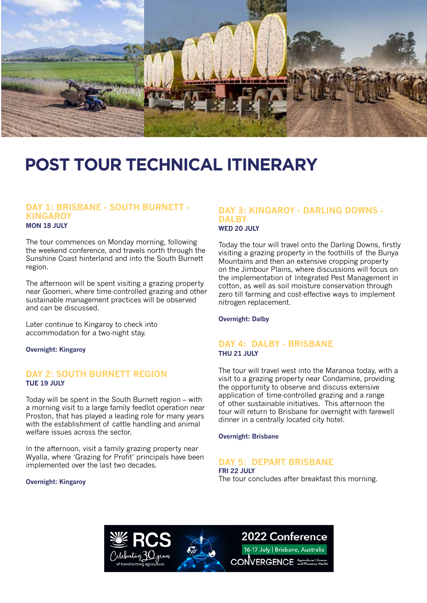

# **POST TOUR TECHNICAL ITINERARY**

#### **DAY 1: BRISBANE - SOUTH BURNETT - KINGAROY MON 18 JULY**

The tour commences on Monday morning, following the weekend conference, and travels north through the Sunshine Coast hinterland and into the South Burnett region.

The afternoon will be spent visiting a grazing property near Goomeri, where time-controlled grazing and other sustainable management practices will be observed and can be discussed.

Later continue to Kingaroy to check into accommodation for a two-night stay.

**Overnight: Kingaroy**

#### **DAY 2: SOUTH BURNETT REGION TUE 19 JULY**

Today will be spent in the South Burnett region – with a morning visit to a large family feedlot operation near Proston, that has played a leading role for many years with the establishment of cattle handling and animal welfare issues across the sector.

In the afternoon, visit a family grazing property near Wyalla, where 'Grazing for Profit' principals have been implemented over the last two decades.

#### **Overnight: Kingaroy**

#### **DAY 3: KINGAROY - DARLING DOWNS - DALBY WED 20 JULY**

Today the tour will travel onto the Darling Downs, firstly visiting a grazing property in the foothills of the Bunya Mountains and then an extensive cropping property on the Jimbour Plains, where discussions will focus on the implementation of Integrated Pest Management in cotton, as well as soil moisture conservation through zero till farming and cost-effective ways to implement nitrogen replacement.

**Overnight: Dalby**

#### **DAY 4: DALBY - BRISBANE THU 21 JULY**

The tour will travel west into the Maranoa today, with a visit to a grazing property near Condamine, providing the opportunity to observe and discuss extensive application of time-controlled grazing and a range of other sustainable initiatives. This afternoon the tour will return to Brisbane for overnight with farewell dinner in a centrally located city hotel.

**Overnight: Brisbane**

#### **DAY 5: DEPART BRISBANE**

**FRI 22 JULY** The tour concludes after breakfast this morning.



### 2022 Conference

16-17 July | Brisbane, Australia **CONVERGENCE** Agriculture | Human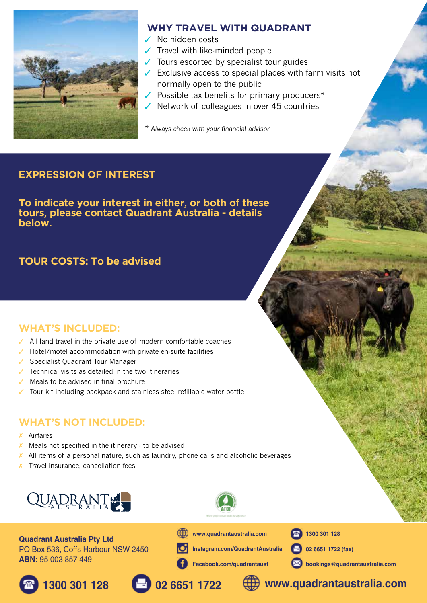

### **WHY TRAVEL WITH QUADRANT**

- $\sqrt{\phantom{a}}$  No hidden costs
- $\sqrt{\phantom{a}}$  Travel with like-minded people
- $\sqrt{\ }$  Tours escorted by specialist tour guides
- $\checkmark$  Exclusive access to special places with farm visits not normally open to the public
- $\sqrt{\ }$  Possible tax benefits for primary producers\*
- $\sqrt{\phantom{a}}$  Network of colleagues in over 45 countries

Always check with your financial advisor

### **EXPRESSION OF INTEREST**

**To indicate your interest in either, or both of these tours, please contact Quadrant Australia - details below.**

### **TOUR COSTS: To be advised**

### **WHAT'S INCLUDED:**

- $\sqrt{ }$  All land travel in the private use of modern comfortable coaches
- $\sqrt{\phantom{a}}$  Hotel/motel accommodation with private en-suite facilities
- $\checkmark$  Specialist Quadrant Tour Manager
- $\sqrt{ }$  Technical visits as detailed in the two itineraries
- $\sqrt{ }$  Meals to be advised in final brochure
- Tour kit including backpack and stainless steel refillable water bottle

### **WHAT'S NOT INCLUDED:**

- $x$  Airfares
- $\chi$  Meals not specified in the itinerary  $\cdot$  to be advised
- $\chi$  All items of a personal nature, such as laundry, phone calls and alcoholic beverages
- $\chi$  Travel insurance, cancellation fees



**Quadrant Australia Pty Ltd** PO Box 536, Coffs Harbour NSW 2450 **ABN:** 95 003 857 449



**Instagram.com/QuadrantAustralia**

**Facebook.com/quadrantaust**

**www.quadrantaustralia.com**



**02 6651 1722 (fax)**

**1300 301 128**

**bookings@quadrantaustralia.com**